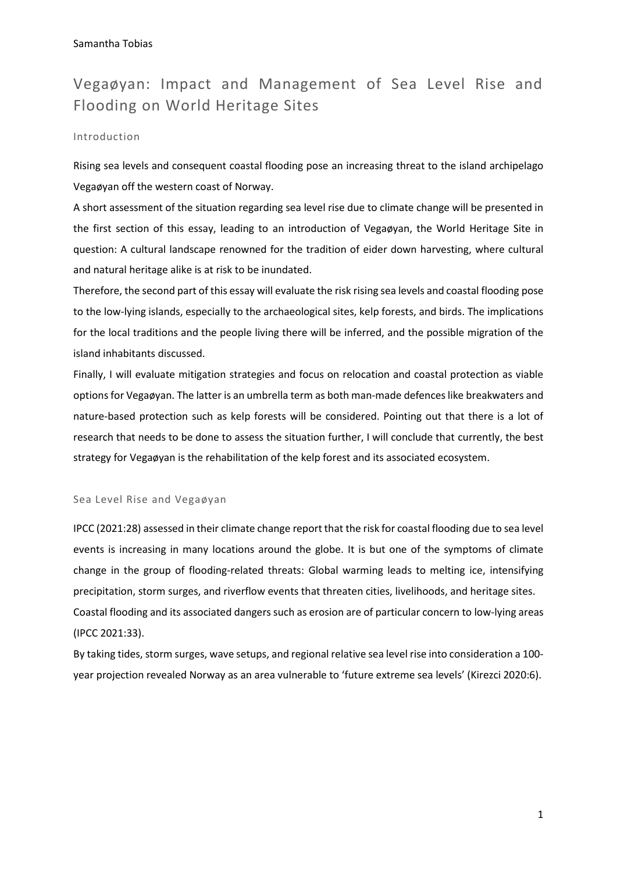# Vegaøyan: Impact and Management of Sea Level Rise and Flooding on World Heritage Sites

## Introduction

Rising sea levels and consequent coastal flooding pose an increasing threat to the island archipelago Vegaøyan off the western coast of Norway.

A short assessment of the situation regarding sea level rise due to climate change will be presented in the first section of this essay, leading to an introduction of Vegaøyan, the World Heritage Site in question: A cultural landscape renowned for the tradition of eider down harvesting, where cultural and natural heritage alike is at risk to be inundated.

Therefore, the second part of this essay will evaluate the risk rising sea levels and coastal flooding pose to the low-lying islands, especially to the archaeological sites, kelp forests, and birds. The implications for the local traditions and the people living there will be inferred, and the possible migration of the island inhabitants discussed.

Finally, I will evaluate mitigation strategies and focus on relocation and coastal protection as viable options for Vegaøyan. The latter is an umbrella term as both man-made defences like breakwaters and nature-based protection such as kelp forests will be considered. Pointing out that there is a lot of research that needs to be done to assess the situation further, I will conclude that currently, the best strategy for Vegaøyan is the rehabilitation of the kelp forest and its associated ecosystem.

#### Sea Level Rise and Vegaøyan

IPCC (2021:28) assessed in their climate change report that the risk for coastal flooding due to sea level events is increasing in many locations around the globe. It is but one of the symptoms of climate change in the group of flooding-related threats: Global warming leads to melting ice, intensifying precipitation, storm surges, and riverflow events that threaten cities, livelihoods, and heritage sites. Coastal flooding and its associated dangers such as erosion are of particular concern to low-lying areas (IPCC 2021:33).

By taking tides, storm surges, wave setups, and regional relative sea level rise into consideration a 100 year projection revealed Norway as an area vulnerable to 'future extreme sea levels' (Kirezci 2020:6).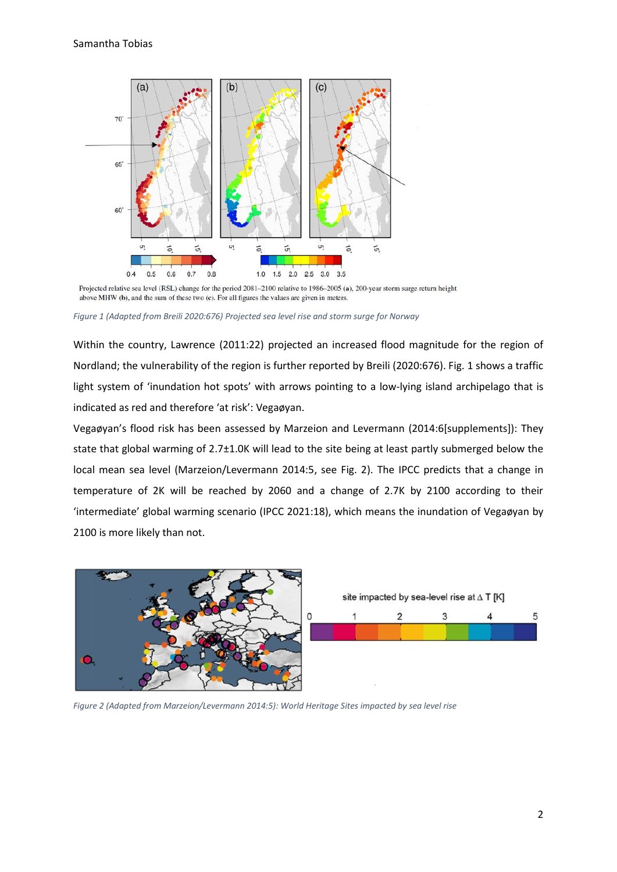

Projected relative sea level (RSL) change for the period 2081-2100 relative to 1986-2005 (a), 200-year storm surge return height above MHW (b), and the sum of these two (c). For all figures the values are given in meters.

*Figure 1 (Adapted from Breili 2020:676) Projected sea level rise and storm surge for Norway*

Within the country, Lawrence (2011:22) projected an increased flood magnitude for the region of Nordland; the vulnerability of the region is further reported by Breili (2020:676). Fig. 1 shows a traffic light system of 'inundation hot spots' with arrows pointing to a low-lying island archipelago that is indicated as red and therefore 'at risk': Vegaøyan.

Vegaøyan's flood risk has been assessed by Marzeion and Levermann (2014:6[supplements]): They state that global warming of 2.7±1.0K will lead to the site being at least partly submerged below the local mean sea level (Marzeion/Levermann 2014:5, see Fig. 2). The IPCC predicts that a change in temperature of 2K will be reached by 2060 and a change of 2.7K by 2100 according to their 'intermediate' global warming scenario (IPCC 2021:18), which means the inundation of Vegaøyan by 2100 is more likely than not.



*Figure 2 (Adapted from Marzeion/Levermann 2014:5): World Heritage Sites impacted by sea level rise*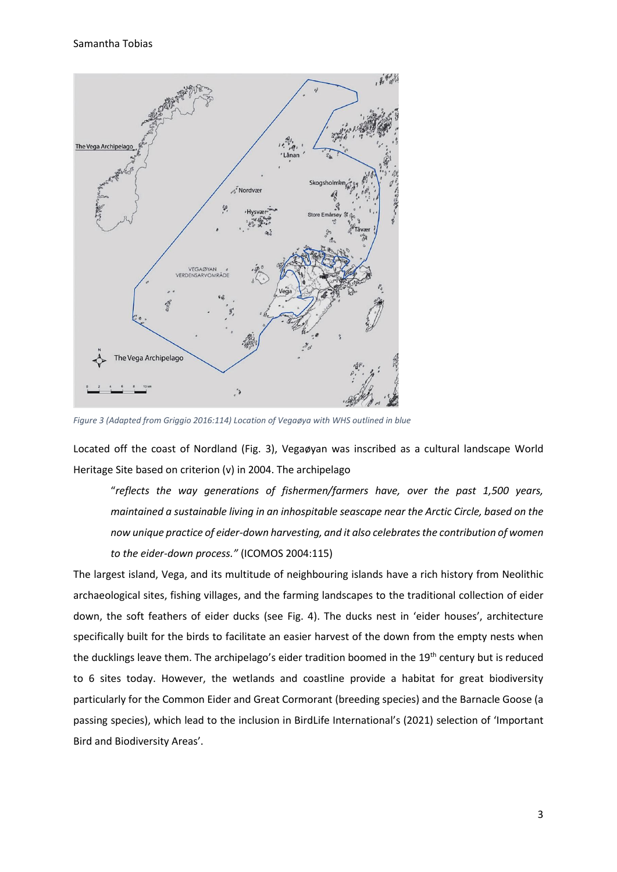

*Figure 3 (Adapted from Griggio 2016:114) Location of Vegaøya with WHS outlined in blue*

Located off the coast of Nordland (Fig. 3), Vegaøyan was inscribed as a cultural landscape World Heritage Site based on criterion (v) in 2004. The archipelago

"*reflects the way generations of fishermen/farmers have, over the past 1,500 years, maintained a sustainable living in an inhospitable seascape near the Arctic Circle, based on the now unique practice of eider-down harvesting, and it also celebrates the contribution of women to the eider-down process."* (ICOMOS 2004:115)

The largest island, Vega, and its multitude of neighbouring islands have a rich history from Neolithic archaeological sites, fishing villages, and the farming landscapes to the traditional collection of eider down, the soft feathers of eider ducks (see Fig. 4). The ducks nest in 'eider houses', architecture specifically built for the birds to facilitate an easier harvest of the down from the empty nests when the ducklings leave them. The archipelago's eider tradition boomed in the 19<sup>th</sup> century but is reduced to 6 sites today. However, the wetlands and coastline provide a habitat for great biodiversity particularly for the Common Eider and Great Cormorant (breeding species) and the Barnacle Goose (a passing species), which lead to the inclusion in BirdLife International's (2021) selection of 'Important Bird and Biodiversity Areas'.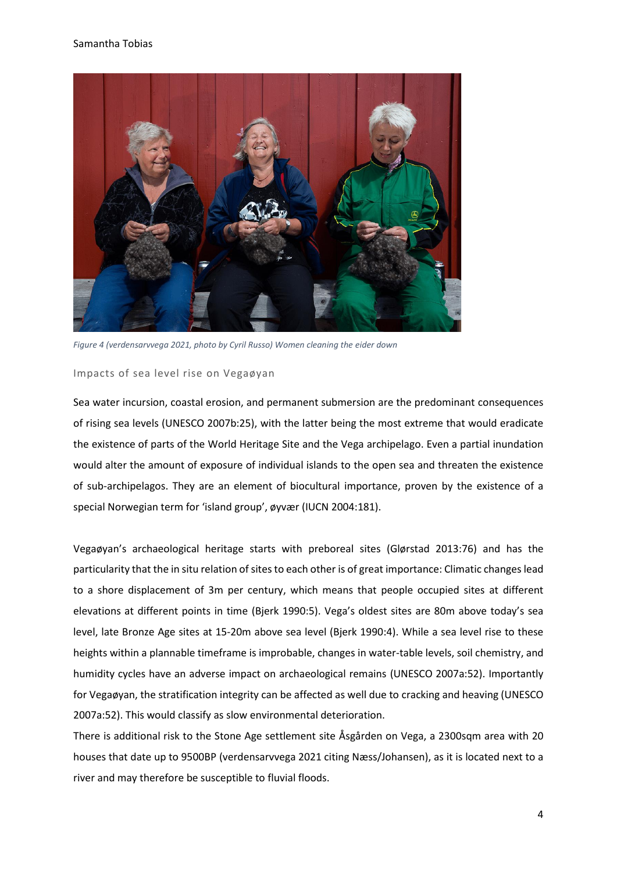

*Figure 4 (verdensarvvega 2021, photo by Cyril Russo) Women cleaning the eider down*

#### Impacts of sea level rise on Vegaøyan

Sea water incursion, coastal erosion, and permanent submersion are the predominant consequences of rising sea levels (UNESCO 2007b:25), with the latter being the most extreme that would eradicate the existence of parts of the World Heritage Site and the Vega archipelago. Even a partial inundation would alter the amount of exposure of individual islands to the open sea and threaten the existence of sub-archipelagos. They are an element of biocultural importance, proven by the existence of a special Norwegian term for 'island group', øyvær (IUCN 2004:181).

Vegaøyan's archaeological heritage starts with preboreal sites (Glørstad 2013:76) and has the particularity that the in situ relation of sites to each other is of great importance: Climatic changes lead to a shore displacement of 3m per century, which means that people occupied sites at different elevations at different points in time (Bjerk 1990:5). Vega's oldest sites are 80m above today's sea level, late Bronze Age sites at 15-20m above sea level (Bjerk 1990:4). While a sea level rise to these heights within a plannable timeframe is improbable, changes in water-table levels, soil chemistry, and humidity cycles have an adverse impact on archaeological remains (UNESCO 2007a:52). Importantly for Vegaøyan, the stratification integrity can be affected as well due to cracking and heaving (UNESCO 2007a:52). This would classify as slow environmental deterioration.

There is additional risk to the Stone Age settlement site Åsgården on Vega, a 2300sqm area with 20 houses that date up to 9500BP (verdensarvvega 2021 citing Næss/Johansen), as it is located next to a river and may therefore be susceptible to fluvial floods.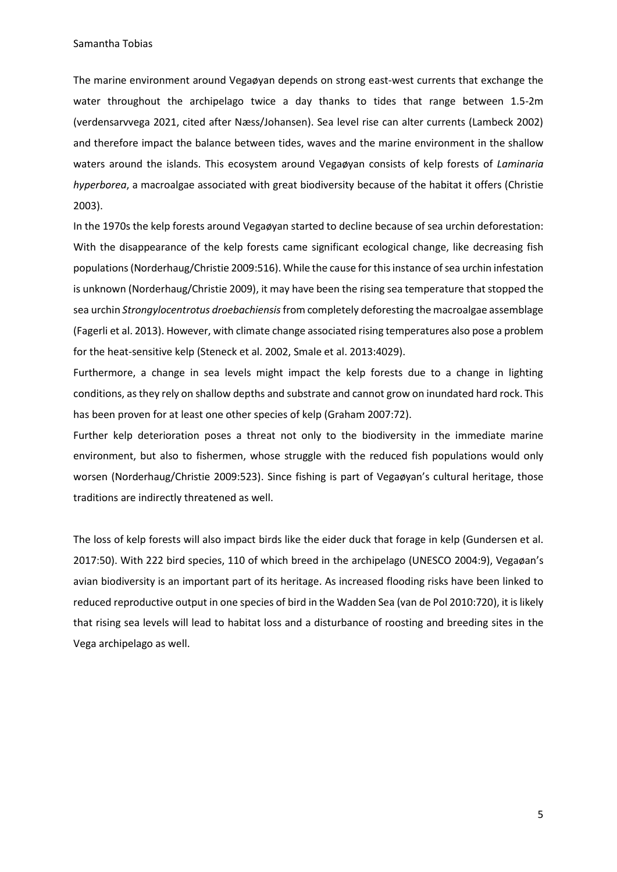The marine environment around Vegaøyan depends on strong east-west currents that exchange the water throughout the archipelago twice a day thanks to tides that range between 1.5-2m (verdensarvvega 2021, cited after Næss/Johansen). Sea level rise can alter currents (Lambeck 2002) and therefore impact the balance between tides, waves and the marine environment in the shallow waters around the islands. This ecosystem around Vegaøyan consists of kelp forests of *Laminaria hyperborea*, a macroalgae associated with great biodiversity because of the habitat it offers (Christie 2003).

In the 1970s the kelp forests around Vegaøyan started to decline because of sea urchin deforestation: With the disappearance of the kelp forests came significant ecological change, like decreasing fish populations (Norderhaug/Christie 2009:516). While the cause for this instance of sea urchin infestation is unknown (Norderhaug/Christie 2009), it may have been the rising sea temperature that stopped the sea urchin *Strongylocentrotus droebachiensis*from completely deforesting the macroalgae assemblage (Fagerli et al. 2013). However, with climate change associated rising temperatures also pose a problem for the heat-sensitive kelp (Steneck et al. 2002, Smale et al. 2013:4029).

Furthermore, a change in sea levels might impact the kelp forests due to a change in lighting conditions, as they rely on shallow depths and substrate and cannot grow on inundated hard rock. This has been proven for at least one other species of kelp (Graham 2007:72).

Further kelp deterioration poses a threat not only to the biodiversity in the immediate marine environment, but also to fishermen, whose struggle with the reduced fish populations would only worsen (Norderhaug/Christie 2009:523). Since fishing is part of Vegaøyan's cultural heritage, those traditions are indirectly threatened as well.

The loss of kelp forests will also impact birds like the eider duck that forage in kelp (Gundersen et al. 2017:50). With 222 bird species, 110 of which breed in the archipelago (UNESCO 2004:9), Vegaøan's avian biodiversity is an important part of its heritage. As increased flooding risks have been linked to reduced reproductive output in one species of bird in the Wadden Sea (van de Pol 2010:720), it is likely that rising sea levels will lead to habitat loss and a disturbance of roosting and breeding sites in the Vega archipelago as well.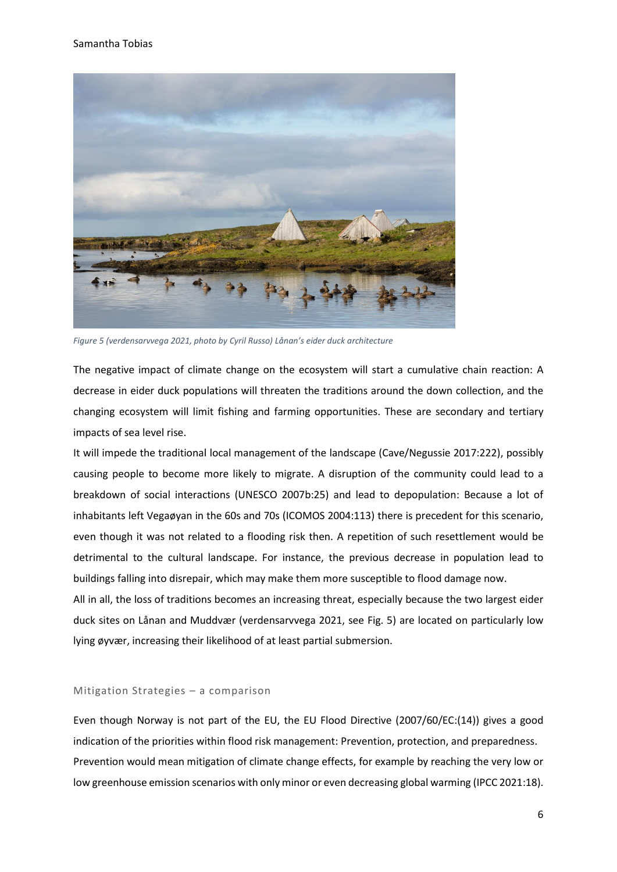

*Figure 5 (verdensarvvega 2021, photo by Cyril Russo) Lånan's eider duck architecture*

The negative impact of climate change on the ecosystem will start a cumulative chain reaction: A decrease in eider duck populations will threaten the traditions around the down collection, and the changing ecosystem will limit fishing and farming opportunities. These are secondary and tertiary impacts of sea level rise.

It will impede the traditional local management of the landscape (Cave/Negussie 2017:222), possibly causing people to become more likely to migrate. A disruption of the community could lead to a breakdown of social interactions (UNESCO 2007b:25) and lead to depopulation: Because a lot of inhabitants left Vegaøyan in the 60s and 70s (ICOMOS 2004:113) there is precedent for this scenario, even though it was not related to a flooding risk then. A repetition of such resettlement would be detrimental to the cultural landscape. For instance, the previous decrease in population lead to buildings falling into disrepair, which may make them more susceptible to flood damage now.

All in all, the loss of traditions becomes an increasing threat, especially because the two largest eider duck sites on Lånan and Muddvær (verdensarvvega 2021, see Fig. 5) are located on particularly low lying øyvær, increasing their likelihood of at least partial submersion.

#### Mitigation Strategies – a comparison

Even though Norway is not part of the EU, the EU Flood Directive (2007/60/EC:(14)) gives a good indication of the priorities within flood risk management: Prevention, protection, and preparedness. Prevention would mean mitigation of climate change effects, for example by reaching the very low or low greenhouse emission scenarios with only minor or even decreasing global warming (IPCC 2021:18).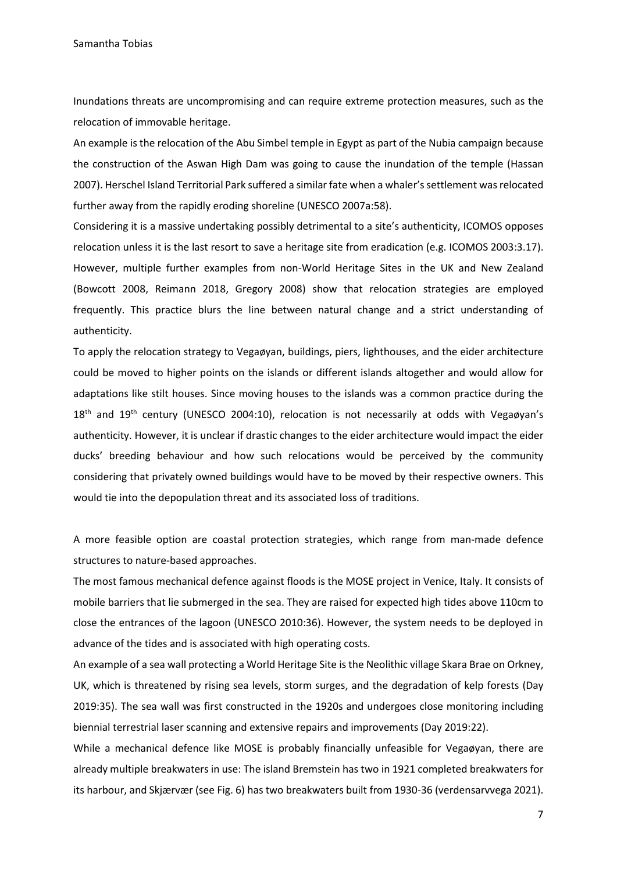Inundations threats are uncompromising and can require extreme protection measures, such as the relocation of immovable heritage.

An example is the relocation of the Abu Simbel temple in Egypt as part of the Nubia campaign because the construction of the Aswan High Dam was going to cause the inundation of the temple (Hassan 2007). Herschel Island Territorial Park suffered a similar fate when a whaler'ssettlement was relocated further away from the rapidly eroding shoreline (UNESCO 2007a:58).

Considering it is a massive undertaking possibly detrimental to a site's authenticity, ICOMOS opposes relocation unless it is the last resort to save a heritage site from eradication (e.g. ICOMOS 2003:3.17). However, multiple further examples from non-World Heritage Sites in the UK and New Zealand (Bowcott 2008, Reimann 2018, Gregory 2008) show that relocation strategies are employed frequently. This practice blurs the line between natural change and a strict understanding of authenticity.

To apply the relocation strategy to Vegaøyan, buildings, piers, lighthouses, and the eider architecture could be moved to higher points on the islands or different islands altogether and would allow for adaptations like stilt houses. Since moving houses to the islands was a common practice during the  $18<sup>th</sup>$  and  $19<sup>th</sup>$  century (UNESCO 2004:10), relocation is not necessarily at odds with Vegaøyan's authenticity. However, it is unclear if drastic changes to the eider architecture would impact the eider ducks' breeding behaviour and how such relocations would be perceived by the community considering that privately owned buildings would have to be moved by their respective owners. This would tie into the depopulation threat and its associated loss of traditions.

A more feasible option are coastal protection strategies, which range from man-made defence structures to nature-based approaches.

The most famous mechanical defence against floods is the MOSE project in Venice, Italy. It consists of mobile barriers that lie submerged in the sea. They are raised for expected high tides above 110cm to close the entrances of the lagoon (UNESCO 2010:36). However, the system needs to be deployed in advance of the tides and is associated with high operating costs.

An example of a sea wall protecting a World Heritage Site is the Neolithic village Skara Brae on Orkney, UK, which is threatened by rising sea levels, storm surges, and the degradation of kelp forests (Day 2019:35). The sea wall was first constructed in the 1920s and undergoes close monitoring including biennial terrestrial laser scanning and extensive repairs and improvements (Day 2019:22).

While a mechanical defence like MOSE is probably financially unfeasible for Vegaøyan, there are already multiple breakwaters in use: The island Bremstein has two in 1921 completed breakwaters for its harbour, and Skjærvær (see Fig. 6) has two breakwaters built from 1930-36 (verdensarvvega 2021).

7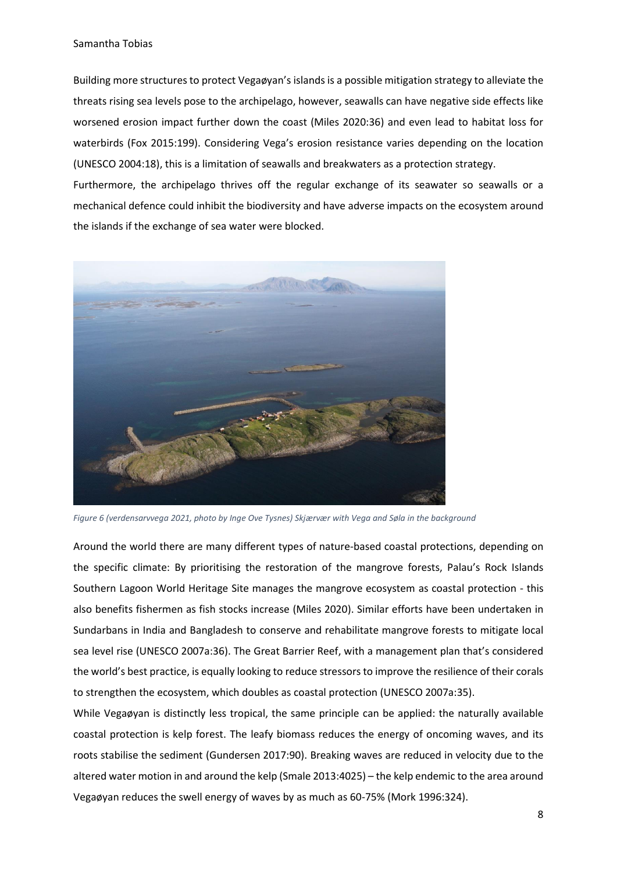Building more structures to protect Vegaøyan's islands is a possible mitigation strategy to alleviate the threats rising sea levels pose to the archipelago, however, seawalls can have negative side effects like worsened erosion impact further down the coast (Miles 2020:36) and even lead to habitat loss for waterbirds (Fox 2015:199). Considering Vega's erosion resistance varies depending on the location (UNESCO 2004:18), this is a limitation of seawalls and breakwaters as a protection strategy.

Furthermore, the archipelago thrives off the regular exchange of its seawater so seawalls or a mechanical defence could inhibit the biodiversity and have adverse impacts on the ecosystem around the islands if the exchange of sea water were blocked.



*Figure 6 (verdensarvvega 2021, photo by Inge Ove Tysnes) Skjærvær with Vega and Søla in the background*

Around the world there are many different types of nature-based coastal protections, depending on the specific climate: By prioritising the restoration of the mangrove forests, Palau's Rock Islands Southern Lagoon World Heritage Site manages the mangrove ecosystem as coastal protection - this also benefits fishermen as fish stocks increase (Miles 2020). Similar efforts have been undertaken in Sundarbans in India and Bangladesh to conserve and rehabilitate mangrove forests to mitigate local sea level rise (UNESCO 2007a:36). The Great Barrier Reef, with a management plan that's considered the world's best practice, is equally looking to reduce stressors to improve the resilience of their corals to strengthen the ecosystem, which doubles as coastal protection (UNESCO 2007a:35).

While Vegaøyan is distinctly less tropical, the same principle can be applied: the naturally available coastal protection is kelp forest. The leafy biomass reduces the energy of oncoming waves, and its roots stabilise the sediment (Gundersen 2017:90). Breaking waves are reduced in velocity due to the altered water motion in and around the kelp (Smale 2013:4025) – the kelp endemic to the area around Vegaøyan reduces the swell energy of waves by as much as 60-75% (Mork 1996:324).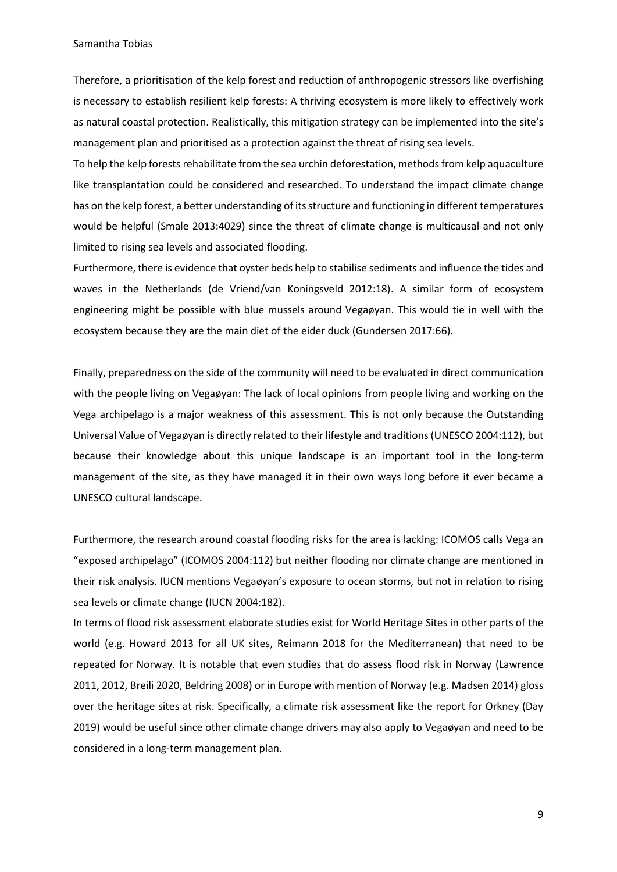Therefore, a prioritisation of the kelp forest and reduction of anthropogenic stressors like overfishing is necessary to establish resilient kelp forests: A thriving ecosystem is more likely to effectively work as natural coastal protection. Realistically, this mitigation strategy can be implemented into the site's management plan and prioritised as a protection against the threat of rising sea levels.

To help the kelp forests rehabilitate from the sea urchin deforestation, methods from kelp aquaculture like transplantation could be considered and researched. To understand the impact climate change has on the kelp forest, a better understanding of its structure and functioning in different temperatures would be helpful (Smale 2013:4029) since the threat of climate change is multicausal and not only limited to rising sea levels and associated flooding.

Furthermore, there is evidence that oyster beds help to stabilise sediments and influence the tides and waves in the Netherlands (de Vriend/van Koningsveld 2012:18). A similar form of ecosystem engineering might be possible with blue mussels around Vegaøyan. This would tie in well with the ecosystem because they are the main diet of the eider duck (Gundersen 2017:66).

Finally, preparedness on the side of the community will need to be evaluated in direct communication with the people living on Vegaøyan: The lack of local opinions from people living and working on the Vega archipelago is a major weakness of this assessment. This is not only because the Outstanding Universal Value of Vegaøyan is directly related to their lifestyle and traditions (UNESCO 2004:112), but because their knowledge about this unique landscape is an important tool in the long-term management of the site, as they have managed it in their own ways long before it ever became a UNESCO cultural landscape.

Furthermore, the research around coastal flooding risks for the area is lacking: ICOMOS calls Vega an "exposed archipelago" (ICOMOS 2004:112) but neither flooding nor climate change are mentioned in their risk analysis. IUCN mentions Vegaøyan's exposure to ocean storms, but not in relation to rising sea levels or climate change (IUCN 2004:182).

In terms of flood risk assessment elaborate studies exist for World Heritage Sites in other parts of the world (e.g. Howard 2013 for all UK sites, Reimann 2018 for the Mediterranean) that need to be repeated for Norway. It is notable that even studies that do assess flood risk in Norway (Lawrence 2011, 2012, Breili 2020, Beldring 2008) or in Europe with mention of Norway (e.g. Madsen 2014) gloss over the heritage sites at risk. Specifically, a climate risk assessment like the report for Orkney (Day 2019) would be useful since other climate change drivers may also apply to Vegaøyan and need to be considered in a long-term management plan.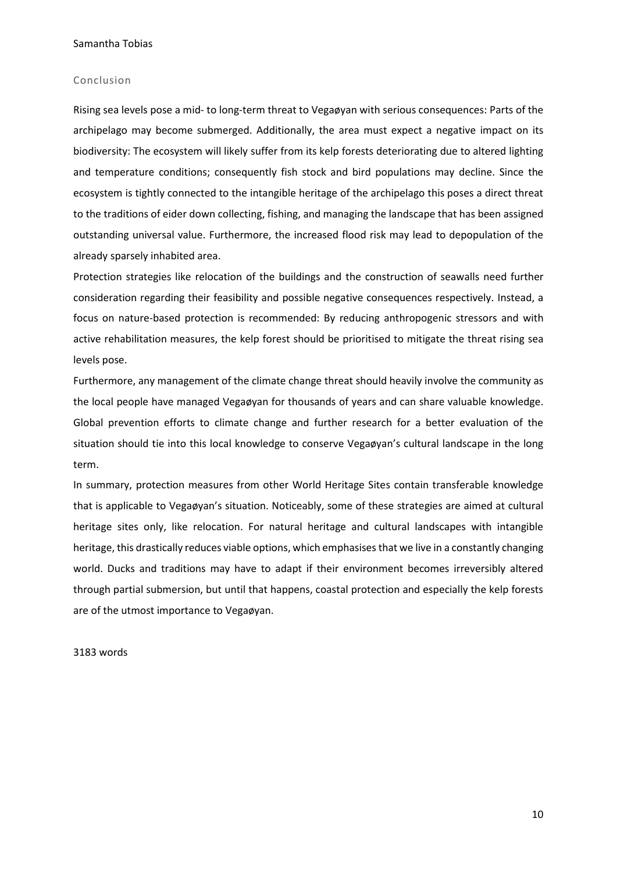#### Conclusion

Rising sea levels pose a mid- to long-term threat to Vegaøyan with serious consequences: Parts of the archipelago may become submerged. Additionally, the area must expect a negative impact on its biodiversity: The ecosystem will likely suffer from its kelp forests deteriorating due to altered lighting and temperature conditions; consequently fish stock and bird populations may decline. Since the ecosystem is tightly connected to the intangible heritage of the archipelago this poses a direct threat to the traditions of eider down collecting, fishing, and managing the landscape that has been assigned outstanding universal value. Furthermore, the increased flood risk may lead to depopulation of the already sparsely inhabited area.

Protection strategies like relocation of the buildings and the construction of seawalls need further consideration regarding their feasibility and possible negative consequences respectively. Instead, a focus on nature-based protection is recommended: By reducing anthropogenic stressors and with active rehabilitation measures, the kelp forest should be prioritised to mitigate the threat rising sea levels pose.

Furthermore, any management of the climate change threat should heavily involve the community as the local people have managed Vegaøyan for thousands of years and can share valuable knowledge. Global prevention efforts to climate change and further research for a better evaluation of the situation should tie into this local knowledge to conserve Vegaøyan's cultural landscape in the long term.

In summary, protection measures from other World Heritage Sites contain transferable knowledge that is applicable to Vegaøyan's situation. Noticeably, some of these strategies are aimed at cultural heritage sites only, like relocation. For natural heritage and cultural landscapes with intangible heritage, this drastically reduces viable options, which emphasises that we live in a constantly changing world. Ducks and traditions may have to adapt if their environment becomes irreversibly altered through partial submersion, but until that happens, coastal protection and especially the kelp forests are of the utmost importance to Vegaøyan.

## 3183 words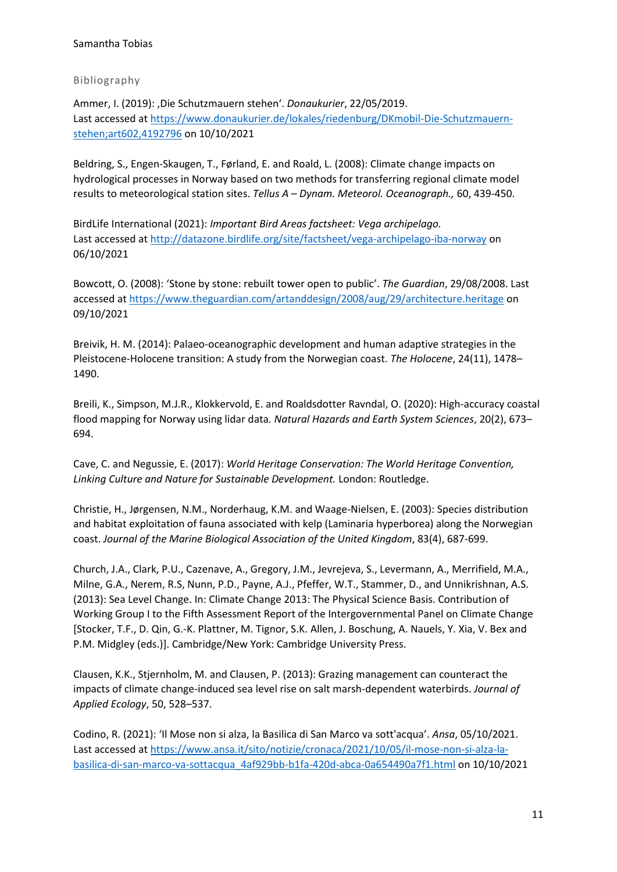## Bibliography

Ammer, I. (2019): ,Die Schutzmauern stehen'. *Donaukurier*, 22/05/2019. Last accessed at https://www.donaukurier.de/lokales/riedenburg/DKmobil-Die-Schutzmauernstehen;art602,4192796 on 10/10/2021

Beldring, S., Engen-Skaugen, T., Førland, E. and Roald, L. (2008): Climate change impacts on hydrological processes in Norway based on two methods for transferring regional climate model results to meteorological station sites. *Tellus A* – *Dynam. Meteorol. Oceanograph.,* 60, 439-450.

BirdLife International (2021): *Important Bird Areas factsheet: Vega archipelago.* Last accessed at http://datazone.birdlife.org/site/factsheet/vega-archipelago-iba-norway on 06/10/2021

Bowcott, O. (2008): 'Stone by stone: rebuilt tower open to public'. *The Guardian*, 29/08/2008. Last accessed at https://www.theguardian.com/artanddesign/2008/aug/29/architecture.heritage on 09/10/2021

Breivik, H. M. (2014): Palaeo-oceanographic development and human adaptive strategies in the Pleistocene-Holocene transition: A study from the Norwegian coast. *The Holocene*, 24(11), 1478– 1490.

Breili, K., Simpson, M.J.R., Klokkervold, E. and Roaldsdotter Ravndal, O. (2020): High-accuracy coastal flood mapping for Norway using lidar data*. Natural Hazards and Earth System Sciences*, 20(2), 673– 694.

Cave, C. and Negussie, E. (2017): *World Heritage Conservation: The World Heritage Convention, Linking Culture and Nature for Sustainable Development.* London: Routledge.

Christie, H., Jørgensen, N.M., Norderhaug, K.M. and Waage-Nielsen, E. (2003): Species distribution and habitat exploitation of fauna associated with kelp (Laminaria hyperborea) along the Norwegian coast. *Journal of the Marine Biological Association of the United Kingdom*, 83(4), 687-699.

Church, J.A., Clark, P.U., Cazenave, A., Gregory, J.M., Jevrejeva, S., Levermann, A., Merrifield, M.A., Milne, G.A., Nerem, R.S, Nunn, P.D., Payne, A.J., Pfeffer, W.T., Stammer, D., and Unnikrishnan, A.S. (2013): Sea Level Change. In: Climate Change 2013: The Physical Science Basis. Contribution of Working Group I to the Fifth Assessment Report of the Intergovernmental Panel on Climate Change [Stocker, T.F., D. Qin, G.-K. Plattner, M. Tignor, S.K. Allen, J. Boschung, A. Nauels, Y. Xia, V. Bex and P.M. Midgley (eds.)]. Cambridge/New York: Cambridge University Press.

Clausen, K.K., Stjernholm, M. and Clausen, P. (2013): Grazing management can counteract the impacts of climate change-induced sea level rise on salt marsh-dependent waterbirds. *Journal of Applied Ecology*, 50, 528–537.

Codino, R. (2021): 'Il Mose non si alza, la Basilica di San Marco va sott'acqua'. *Ansa*, 05/10/2021. Last accessed at https://www.ansa.it/sito/notizie/cronaca/2021/10/05/il-mose-non-si-alza-labasilica-di-san-marco-va-sottacqua\_4af929bb-b1fa-420d-abca-0a654490a7f1.html on 10/10/2021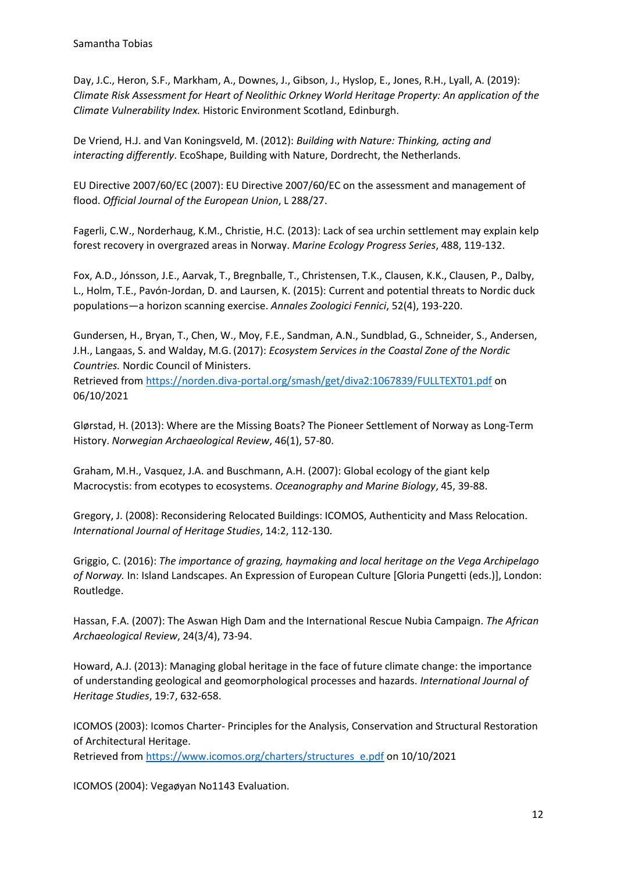Day, J.C., Heron, S.F., Markham, A., Downes, J., Gibson, J., Hyslop, E., Jones, R.H., Lyall, A. (2019): *Climate Risk Assessment for Heart of Neolithic Orkney World Heritage Property: An application of the Climate Vulnerability Index.* Historic Environment Scotland, Edinburgh.

De Vriend, H.J. and Van Koningsveld, M. (2012): *Building with Nature: Thinking, acting and interacting differently*. EcoShape, Building with Nature, Dordrecht, the Netherlands.

EU Directive 2007/60/EC (2007): EU Directive 2007/60/EC on the assessment and management of flood. *Official Journal of the European Union*, L 288/27.

Fagerli, C.W., Norderhaug, K.M., Christie, H.C. (2013): Lack of sea urchin settlement may explain kelp forest recovery in overgrazed areas in Norway. *Marine Ecology Progress Series*, 488, 119-132.

Fox, A.D., Jónsson, J.E., Aarvak, T., Bregnballe, T., Christensen, T.K., Clausen, K.K., Clausen, P., Dalby, L., Holm, T.E., Pavón-Jordan, D. and Laursen, K. (2015): Current and potential threats to Nordic duck populations—a horizon scanning exercise. *Annales Zoologici Fennici*, 52(4), 193-220.

Gundersen, H., Bryan, T., Chen, W., Moy, F.E., Sandman, A.N., Sundblad, G., Schneider, S., Andersen, J.H., Langaas, S. and Walday, M.G. (2017): *Ecosystem Services in the Coastal Zone of the Nordic Countries.* Nordic Council of Ministers.

Retrieved from https://norden.diva-portal.org/smash/get/diva2:1067839/FULLTEXT01.pdf on 06/10/2021

Glørstad, H. (2013): Where are the Missing Boats? The Pioneer Settlement of Norway as Long-Term History. *Norwegian Archaeological Review*, 46(1), 57-80.

Graham, M.H., Vasquez, J.A. and Buschmann, A.H. (2007): Global ecology of the giant kelp Macrocystis: from ecotypes to ecosystems. *Oceanography and Marine Biology*, 45, 39-88.

Gregory, J. (2008): Reconsidering Relocated Buildings: ICOMOS, Authenticity and Mass Relocation. *International Journal of Heritage Studies*, 14:2, 112-130.

Griggio, C. (2016): *The importance of grazing, haymaking and local heritage on the Vega Archipelago of Norway.* In: Island Landscapes. An Expression of European Culture [Gloria Pungetti (eds.)], London: Routledge.

Hassan, F.A. (2007): The Aswan High Dam and the International Rescue Nubia Campaign. *The African Archaeological Review*, 24(3/4), 73-94.

Howard, A.J. (2013): Managing global heritage in the face of future climate change: the importance of understanding geological and geomorphological processes and hazards. *International Journal of Heritage Studies*, 19:7, 632-658.

ICOMOS (2003): Icomos Charter- Principles for the Analysis, Conservation and Structural Restoration of Architectural Heritage.

Retrieved from https://www.icomos.org/charters/structures\_e.pdf on 10/10/2021

ICOMOS (2004): Vegaøyan No1143 Evaluation.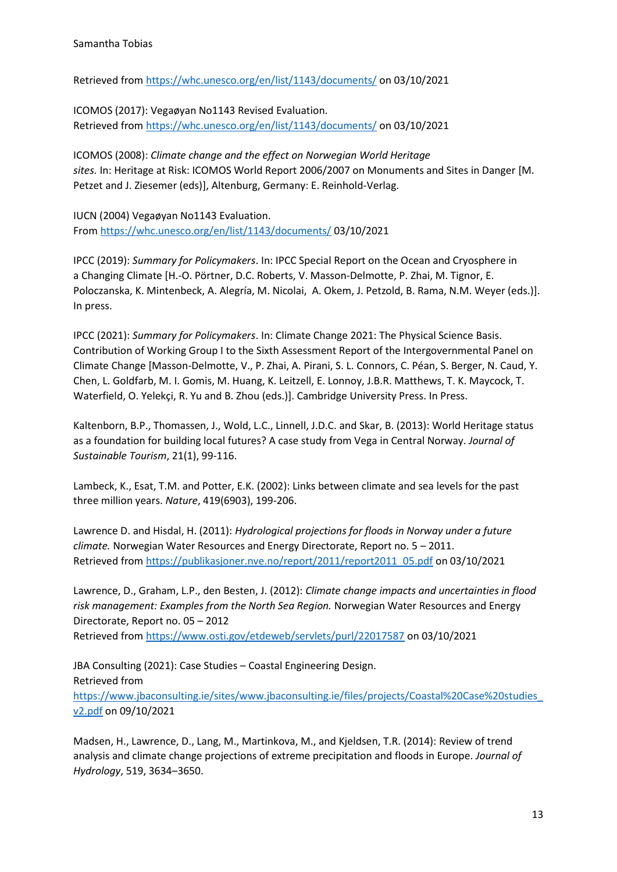Retrieved from https://whc.unesco.org/en/list/1143/documents/ on 03/10/2021

ICOMOS (2017): Vegaøyan No1143 Revised Evaluation. Retrieved from https://whc.unesco.org/en/list/1143/documents/ on 03/10/2021

ICOMOS (2008): *Climate change and the effect on Norwegian World Heritage sites.* In: Heritage at Risk: ICOMOS World Report 2006/2007 on Monuments and Sites in Danger [M. Petzet and J. Ziesemer (eds)], Altenburg, Germany: E. Reinhold-Verlag.

IUCN (2004) Vegaøyan No1143 Evaluation. From https://whc.unesco.org/en/list/1143/documents/ 03/10/2021

IPCC (2019): *Summary for Policymakers*. In: IPCC Special Report on the Ocean and Cryosphere in a Changing Climate [H.-O. Pörtner, D.C. Roberts, V. Masson-Delmotte, P. Zhai, M. Tignor, E. Poloczanska, K. Mintenbeck, A. Alegría, M. Nicolai, A. Okem, J. Petzold, B. Rama, N.M. Weyer (eds.)]. In press.

IPCC (2021): *Summary for Policymakers*. In: Climate Change 2021: The Physical Science Basis. Contribution of Working Group I to the Sixth Assessment Report of the Intergovernmental Panel on Climate Change [Masson-Delmotte, V., P. Zhai, A. Pirani, S. L. Connors, C. Péan, S. Berger, N. Caud, Y. Chen, L. Goldfarb, M. I. Gomis, M. Huang, K. Leitzell, E. Lonnoy, J.B.R. Matthews, T. K. Maycock, T. Waterfield, O. Yelekçi, R. Yu and B. Zhou (eds.)]. Cambridge University Press. In Press.

Kaltenborn, B.P., Thomassen, J., Wold, L.C., Linnell, J.D.C. and Skar, B. (2013): World Heritage status as a foundation for building local futures? A case study from Vega in Central Norway. *Journal of Sustainable Tourism*, 21(1), 99-116.

Lambeck, K., Esat, T.M. and Potter, E.K. (2002): Links between climate and sea levels for the past three million years. *Nature*, 419(6903), 199-206.

Lawrence D. and Hisdal, H. (2011): *Hydrological projections for floods in Norway under a future climate.* Norwegian Water Resources and Energy Directorate, Report no. 5 – 2011. Retrieved from https://publikasjoner.nve.no/report/2011/report2011\_05.pdf on 03/10/2021

Lawrence, D., Graham, L.P., den Besten, J. (2012): *Climate change impacts and uncertainties in flood risk management: Examples from the North Sea Region.* Norwegian Water Resources and Energy Directorate, Report no. 05 – 2012

Retrieved from https://www.osti.gov/etdeweb/servlets/purl/22017587 on 03/10/2021

JBA Consulting (2021): Case Studies – Coastal Engineering Design. Retrieved from https://www.jbaconsulting.ie/sites/www.jbaconsulting.ie/files/projects/Coastal%20Case%20studies\_ v2.pdf on 09/10/2021

Madsen, H., Lawrence, D., Lang, M., Martinkova, M., and Kjeldsen, T.R. (2014): Review of trend analysis and climate change projections of extreme precipitation and floods in Europe. *Journal of Hydrology*, 519, 3634–3650.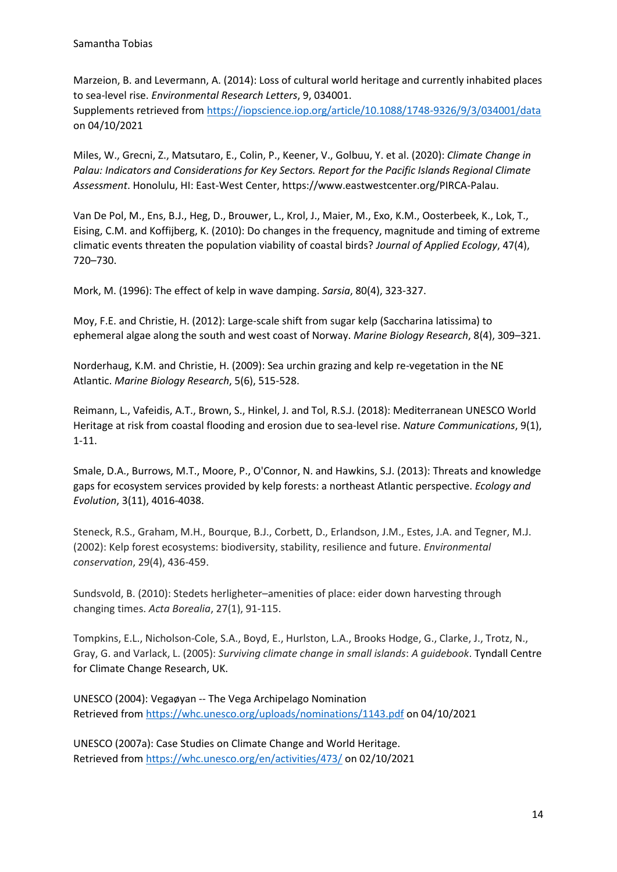Marzeion, B. and Levermann, A. (2014): Loss of cultural world heritage and currently inhabited places to sea-level rise. *Environmental Research Letters*, 9, 034001. Supplements retrieved from https://iopscience.iop.org/article/10.1088/1748-9326/9/3/034001/data on 04/10/2021

Miles, W., Grecni, Z., Matsutaro, E., Colin, P., Keener, V., Golbuu, Y. et al. (2020): *Climate Change in Palau: Indicators and Considerations for Key Sectors. Report for the Pacific Islands Regional Climate Assessment*. Honolulu, HI: East-West Center, https://www.eastwestcenter.org/PIRCA-Palau.

Van De Pol, M., Ens, B.J., Heg, D., Brouwer, L., Krol, J., Maier, M., Exo, K.M., Oosterbeek, K., Lok, T., Eising, C.M. and Koffijberg, K. (2010): Do changes in the frequency, magnitude and timing of extreme climatic events threaten the population viability of coastal birds? *Journal of Applied Ecology*, 47(4), 720–730.

Mork, M. (1996): The effect of kelp in wave damping. *Sarsia*, 80(4), 323-327.

Moy, F.E. and Christie, H. (2012): Large-scale shift from sugar kelp (Saccharina latissima) to ephemeral algae along the south and west coast of Norway. *Marine Biology Research*, 8(4), 309–321.

Norderhaug, K.M. and Christie, H. (2009): Sea urchin grazing and kelp re-vegetation in the NE Atlantic. *Marine Biology Research*, 5(6), 515-528.

Reimann, L., Vafeidis, A.T., Brown, S., Hinkel, J. and Tol, R.S.J. (2018): Mediterranean UNESCO World Heritage at risk from coastal flooding and erosion due to sea-level rise. *Nature Communications*, 9(1), 1-11.

Smale, D.A., Burrows, M.T., Moore, P., O'Connor, N. and Hawkins, S.J. (2013): Threats and knowledge gaps for ecosystem services provided by kelp forests: a northeast Atlantic perspective. *Ecology and Evolution*, 3(11), 4016-4038.

Steneck, R.S., Graham, M.H., Bourque, B.J., Corbett, D., Erlandson, J.M., Estes, J.A. and Tegner, M.J. (2002): Kelp forest ecosystems: biodiversity, stability, resilience and future. *Environmental conservation*, 29(4), 436-459.

Sundsvold, B. (2010): Stedets herligheter–amenities of place: eider down harvesting through changing times. *Acta Borealia*, 27(1), 91-115.

Tompkins, E.L., Nicholson-Cole, S.A., Boyd, E., Hurlston, L.A., Brooks Hodge, G., Clarke, J., Trotz, N., Gray, G. and Varlack, L. (2005): *Surviving climate change in small islands*: *A guidebook*. Tyndall Centre for Climate Change Research, UK.

UNESCO (2004): Vegaøyan -- The Vega Archipelago Nomination Retrieved from https://whc.unesco.org/uploads/nominations/1143.pdf on 04/10/2021

UNESCO (2007a): Case Studies on Climate Change and World Heritage. Retrieved from https://whc.unesco.org/en/activities/473/ on 02/10/2021